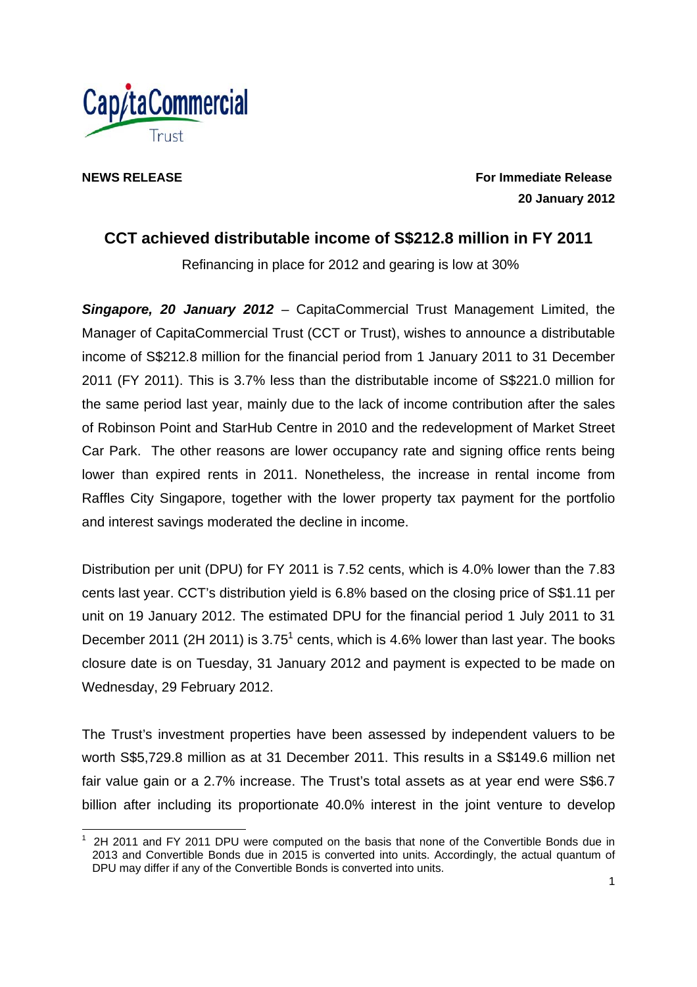

**NEWS RELEASE** For Immediate Release **For Immediate Release 20 January 2012** 

# **CCT achieved distributable income of S\$212.8 million in FY 2011**

Refinancing in place for 2012 and gearing is low at 30%

*Singapore, 20 January 2012* – CapitaCommercial Trust Management Limited, the Manager of CapitaCommercial Trust (CCT or Trust), wishes to announce a distributable income of S\$212.8 million for the financial period from 1 January 2011 to 31 December 2011 (FY 2011). This is 3.7% less than the distributable income of S\$221.0 million for the same period last year, mainly due to the lack of income contribution after the sales of Robinson Point and StarHub Centre in 2010 and the redevelopment of Market Street Car Park. The other reasons are lower occupancy rate and signing office rents being lower than expired rents in 2011. Nonetheless, the increase in rental income from Raffles City Singapore, together with the lower property tax payment for the portfolio and interest savings moderated the decline in income.

Distribution per unit (DPU) for FY 2011 is 7.52 cents, which is 4.0% lower than the 7.83 cents last year. CCT's distribution yield is 6.8% based on the closing price of S\$1.11 per unit on 19 January 2012. The estimated DPU for the financial period 1 July 2011 to 31 December 2011 (2H 2011) is  $3.75<sup>1</sup>$  cents, which is 4.6% lower than last year. The books closure date is on Tuesday, 31 January 2012 and payment is expected to be made on Wednesday, 29 February 2012.

The Trust's investment properties have been assessed by independent valuers to be worth S\$5,729.8 million as at 31 December 2011. This results in a S\$149.6 million net fair value gain or a 2.7% increase. The Trust's total assets as at year end were S\$6.7 billion after including its proportionate 40.0% interest in the joint venture to develop

<sup>-</sup>1 2H 2011 and FY 2011 DPU were computed on the basis that none of the Convertible Bonds due in 2013 and Convertible Bonds due in 2015 is converted into units. Accordingly, the actual quantum of DPU may differ if any of the Convertible Bonds is converted into units.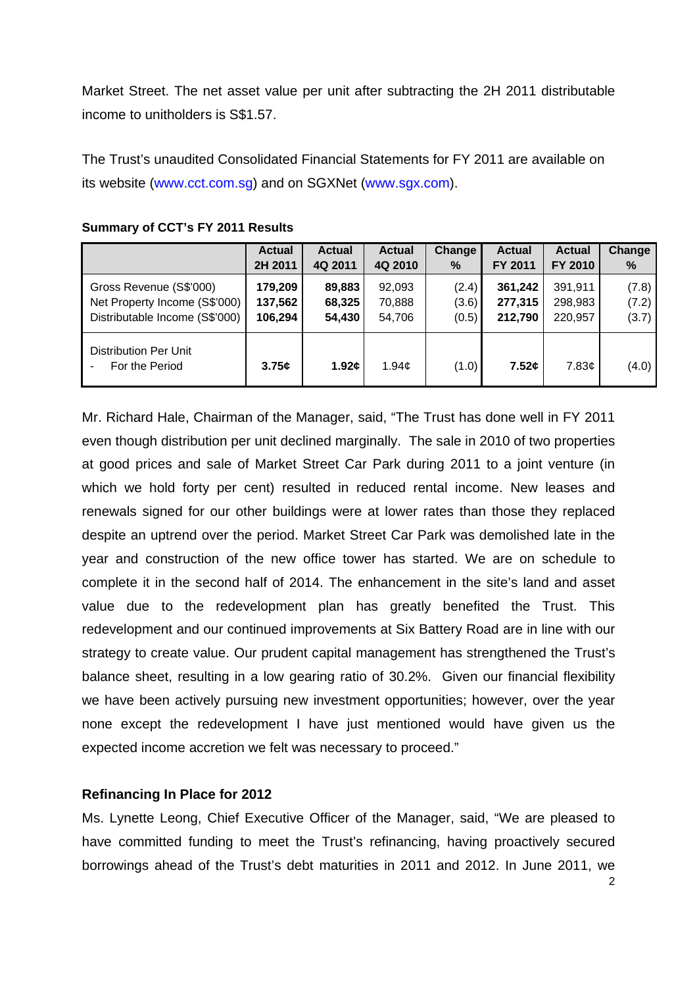Market Street. The net asset value per unit after subtracting the 2H 2011 distributable income to unitholders is S\$1.57.

The Trust's unaudited Consolidated Financial Statements for FY 2011 are available on its website (www.cct.com.sg) and on SGXNet (www.sgx.com).

|                                                | <b>Actual</b> | <b>Actual</b> | <b>Actual</b>      | Change | <b>Actual</b> | <b>Actual</b> | Change |
|------------------------------------------------|---------------|---------------|--------------------|--------|---------------|---------------|--------|
|                                                | 2H 2011       | 4Q 2011       | 4Q 2010            | %      | FY 2011       | FY 2010       | %      |
| Gross Revenue (S\$'000)                        | 179,209       | 89,883        | 92,093             | (2.4)  | 361,242       | 391,911       | (7.8)  |
| Net Property Income (S\$'000)                  | 137,562       | 68,325        | 70,888             | (3.6)  | 277,315       | 298,983       | (7.2)  |
| Distributable Income (S\$'000)                 | 106,294       | 54,430        | 54,706             | (0.5)  | 212,790       | 220.957       | (3.7)  |
| <b>Distribution Per Unit</b><br>For the Period | 3.75c         | 1.92c         | 1.94 $\mathfrak e$ | (1.0)  | 7.52c         | 7.83¢         | (4.0)  |

#### **Summary of CCT's FY 2011 Results**

Mr. Richard Hale, Chairman of the Manager, said, "The Trust has done well in FY 2011 even though distribution per unit declined marginally. The sale in 2010 of two properties at good prices and sale of Market Street Car Park during 2011 to a joint venture (in which we hold forty per cent) resulted in reduced rental income. New leases and renewals signed for our other buildings were at lower rates than those they replaced despite an uptrend over the period. Market Street Car Park was demolished late in the year and construction of the new office tower has started. We are on schedule to complete it in the second half of 2014. The enhancement in the site's land and asset value due to the redevelopment plan has greatly benefited the Trust. This redevelopment and our continued improvements at Six Battery Road are in line with our strategy to create value. Our prudent capital management has strengthened the Trust's balance sheet, resulting in a low gearing ratio of 30.2%. Given our financial flexibility we have been actively pursuing new investment opportunities; however, over the year none except the redevelopment I have just mentioned would have given us the expected income accretion we felt was necessary to proceed."

### **Refinancing In Place for 2012**

Ms. Lynette Leong, Chief Executive Officer of the Manager, said, "We are pleased to have committed funding to meet the Trust's refinancing, having proactively secured borrowings ahead of the Trust's debt maturities in 2011 and 2012. In June 2011, we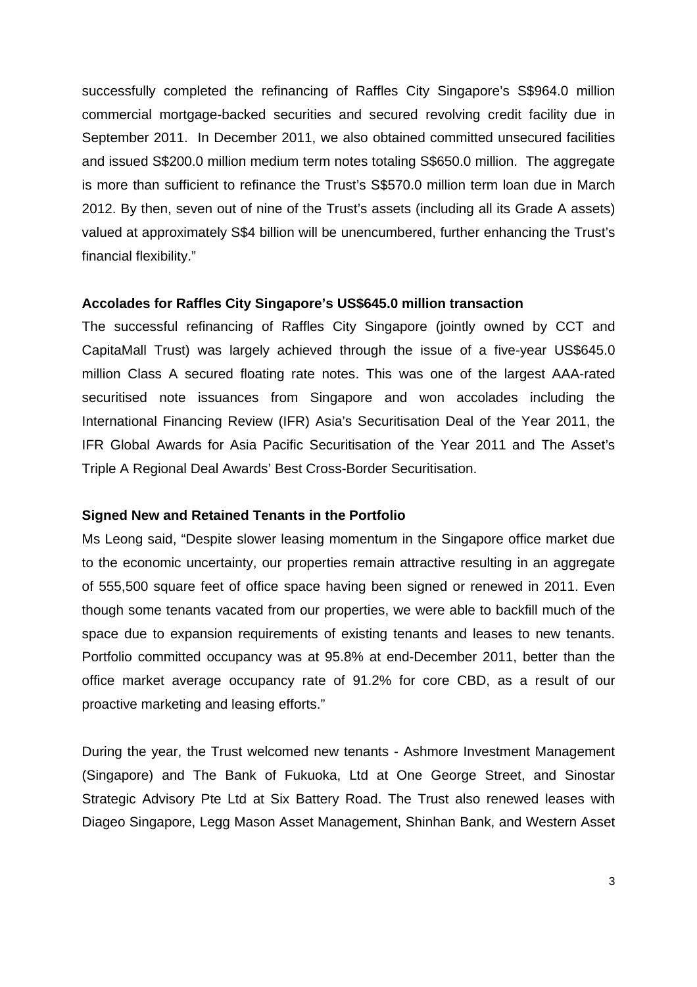successfully completed the refinancing of Raffles City Singapore's S\$964.0 million commercial mortgage-backed securities and secured revolving credit facility due in September 2011. In December 2011, we also obtained committed unsecured facilities and issued S\$200.0 million medium term notes totaling S\$650.0 million. The aggregate is more than sufficient to refinance the Trust's S\$570.0 million term loan due in March 2012. By then, seven out of nine of the Trust's assets (including all its Grade A assets) valued at approximately S\$4 billion will be unencumbered, further enhancing the Trust's financial flexibility."

### **Accolades for Raffles City Singapore's US\$645.0 million transaction**

The successful refinancing of Raffles City Singapore (jointly owned by CCT and CapitaMall Trust) was largely achieved through the issue of a five-year US\$645.0 million Class A secured floating rate notes. This was one of the largest AAA-rated securitised note issuances from Singapore and won accolades including the International Financing Review (IFR) Asia's Securitisation Deal of the Year 2011, the IFR Global Awards for Asia Pacific Securitisation of the Year 2011 and The Asset's Triple A Regional Deal Awards' Best Cross-Border Securitisation.

### **Signed New and Retained Tenants in the Portfolio**

Ms Leong said, "Despite slower leasing momentum in the Singapore office market due to the economic uncertainty, our properties remain attractive resulting in an aggregate of 555,500 square feet of office space having been signed or renewed in 2011. Even though some tenants vacated from our properties, we were able to backfill much of the space due to expansion requirements of existing tenants and leases to new tenants. Portfolio committed occupancy was at 95.8% at end-December 2011, better than the office market average occupancy rate of 91.2% for core CBD, as a result of our proactive marketing and leasing efforts."

During the year, the Trust welcomed new tenants - Ashmore Investment Management (Singapore) and The Bank of Fukuoka, Ltd at One George Street, and Sinostar Strategic Advisory Pte Ltd at Six Battery Road. The Trust also renewed leases with Diageo Singapore, Legg Mason Asset Management, Shinhan Bank, and Western Asset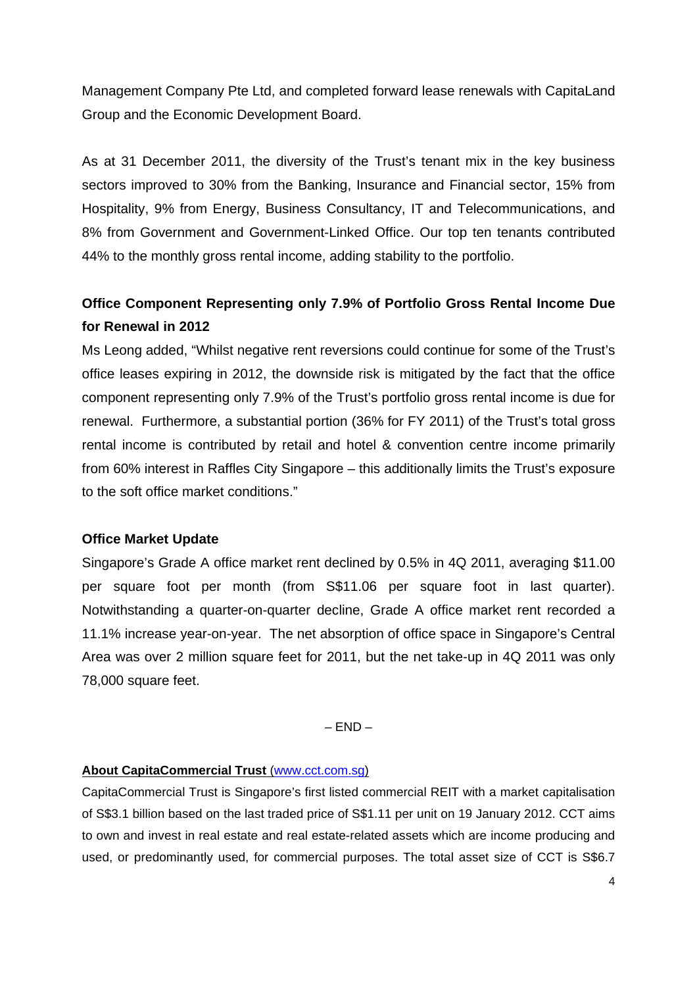Management Company Pte Ltd, and completed forward lease renewals with CapitaLand Group and the Economic Development Board.

As at 31 December 2011, the diversity of the Trust's tenant mix in the key business sectors improved to 30% from the Banking, Insurance and Financial sector, 15% from Hospitality, 9% from Energy, Business Consultancy, IT and Telecommunications, and 8% from Government and Government-Linked Office. Our top ten tenants contributed 44% to the monthly gross rental income, adding stability to the portfolio.

# **Office Component Representing only 7.9% of Portfolio Gross Rental Income Due for Renewal in 2012**

Ms Leong added, "Whilst negative rent reversions could continue for some of the Trust's office leases expiring in 2012, the downside risk is mitigated by the fact that the office component representing only 7.9% of the Trust's portfolio gross rental income is due for renewal. Furthermore, a substantial portion (36% for FY 2011) of the Trust's total gross rental income is contributed by retail and hotel & convention centre income primarily from 60% interest in Raffles City Singapore – this additionally limits the Trust's exposure to the soft office market conditions."

## **Office Market Update**

Singapore's Grade A office market rent declined by 0.5% in 4Q 2011, averaging \$11.00 per square foot per month (from S\$11.06 per square foot in last quarter). Notwithstanding a quarter-on-quarter decline, Grade A office market rent recorded a 11.1% increase year-on-year. The net absorption of office space in Singapore's Central Area was over 2 million square feet for 2011, but the net take-up in 4Q 2011 was only 78,000 square feet.

 $-$  END  $-$ 

## **About CapitaCommercial Trust** (www.cct.com.sg)

CapitaCommercial Trust is Singapore's first listed commercial REIT with a market capitalisation of S\$3.1 billion based on the last traded price of S\$1.11 per unit on 19 January 2012. CCT aims to own and invest in real estate and real estate-related assets which are income producing and used, or predominantly used, for commercial purposes. The total asset size of CCT is S\$6.7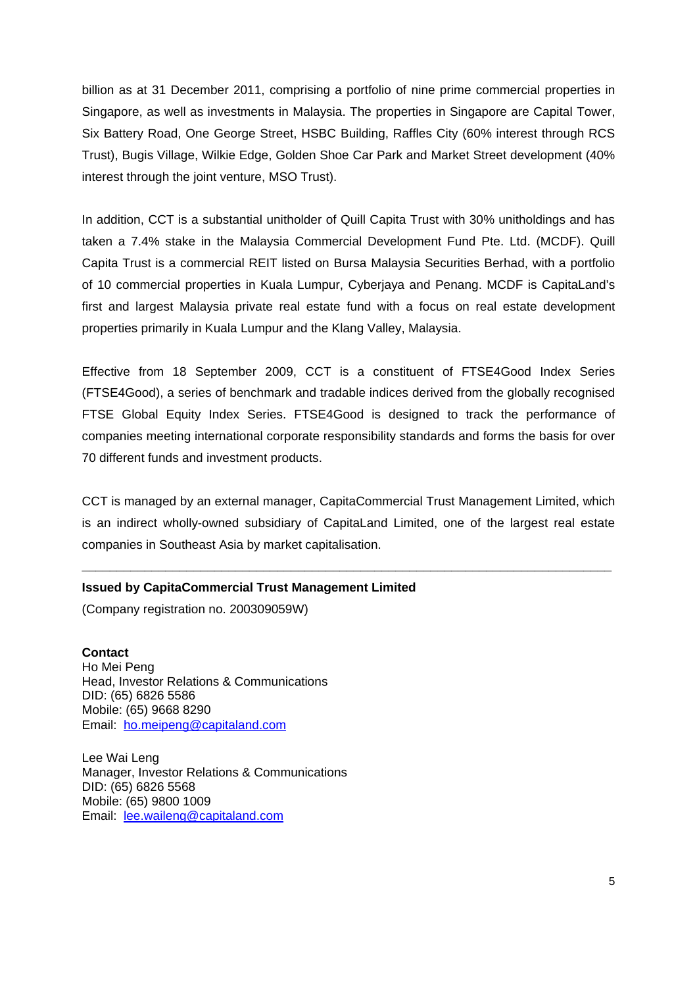billion as at 31 December 2011, comprising a portfolio of nine prime commercial properties in Singapore, as well as investments in Malaysia. The properties in Singapore are Capital Tower, Six Battery Road, One George Street, HSBC Building, Raffles City (60% interest through RCS Trust), Bugis Village, Wilkie Edge, Golden Shoe Car Park and Market Street development (40% interest through the joint venture, MSO Trust).

In addition, CCT is a substantial unitholder of Quill Capita Trust with 30% unitholdings and has taken a 7.4% stake in the Malaysia Commercial Development Fund Pte. Ltd. (MCDF). Quill Capita Trust is a commercial REIT listed on Bursa Malaysia Securities Berhad, with a portfolio of 10 commercial properties in Kuala Lumpur, Cyberjaya and Penang. MCDF is CapitaLand's first and largest Malaysia private real estate fund with a focus on real estate development properties primarily in Kuala Lumpur and the Klang Valley, Malaysia.

Effective from 18 September 2009, CCT is a constituent of FTSE4Good Index Series (FTSE4Good), a series of benchmark and tradable indices derived from the globally recognised FTSE Global Equity Index Series. FTSE4Good is designed to track the performance of companies meeting international corporate responsibility standards and forms the basis for over 70 different funds and investment products.

CCT is managed by an external manager, CapitaCommercial Trust Management Limited, which is an indirect wholly-owned subsidiary of CapitaLand Limited, one of the largest real estate companies in Southeast Asia by market capitalisation.

**\_\_\_\_\_\_\_\_\_\_\_\_\_\_\_\_\_\_\_\_\_\_\_\_\_\_\_\_\_\_\_\_\_\_\_\_\_\_\_\_\_\_\_\_\_\_\_\_\_\_\_\_\_\_\_\_\_\_\_\_\_\_\_\_\_\_\_\_\_\_\_\_\_\_\_\_** 

### **Issued by CapitaCommercial Trust Management Limited**

(Company registration no. 200309059W)

**Contact**  Ho Mei Peng Head, Investor Relations & Communications DID: (65) 6826 5586 Mobile: (65) 9668 8290 Email: ho.meipeng@capitaland.com

Lee Wai Leng Manager, Investor Relations & Communications DID: (65) 6826 5568 Mobile: (65) 9800 1009 Email: lee.waileng@capitaland.com